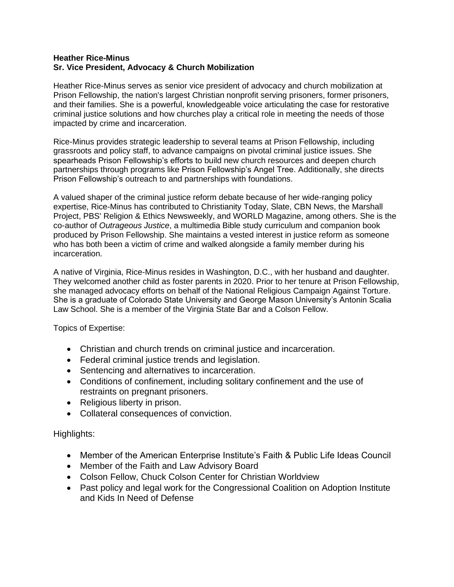## **Heather Rice-Minus Sr. Vice President, Advocacy & Church Mobilization**

Heather Rice-Minus serves as senior vice president of advocacy and church mobilization at Prison Fellowship, the nation's largest Christian nonprofit serving prisoners, former prisoners, and their families. She is a powerful, knowledgeable voice articulating the case for restorative criminal justice solutions and how churches play a critical role in meeting the needs of those impacted by crime and incarceration.

Rice-Minus provides strategic leadership to several teams at Prison Fellowship, including grassroots and policy staff, to advance campaigns on pivotal criminal justice issues. She spearheads Prison Fellowship's efforts to build new church resources and deepen church partnerships through programs like Prison Fellowship's Angel Tree. Additionally, she directs Prison Fellowship's outreach to and partnerships with foundations.

A valued shaper of the criminal justice reform debate because of her wide-ranging policy expertise, Rice-Minus has contributed to Christianity Today, Slate, CBN News, the Marshall Project, PBS' Religion & Ethics Newsweekly, and WORLD Magazine, among others. She is the co-author of *Outrageous Justice*, a multimedia Bible study curriculum and companion book produced by Prison Fellowship. She maintains a vested interest in justice reform as someone who has both been a victim of crime and walked alongside a family member during his incarceration.

A native of Virginia, Rice-Minus resides in Washington, D.C., with her husband and daughter. They welcomed another child as foster parents in 2020. Prior to her tenure at Prison Fellowship, she managed advocacy efforts on behalf of the National Religious Campaign Against Torture. She is a graduate of Colorado State University and George Mason University's Antonin Scalia Law School. She is a member of the Virginia State Bar and a Colson Fellow.

Topics of Expertise:

- Christian and church trends on criminal justice and incarceration.
- Federal criminal justice trends and legislation.
- Sentencing and alternatives to incarceration.
- Conditions of confinement, including solitary confinement and the use of restraints on pregnant prisoners.
- Religious liberty in prison.
- Collateral consequences of conviction.

## Highlights:

- Member of the American Enterprise Institute's Faith & Public Life Ideas Council
- Member of the Faith and Law Advisory Board
- Colson Fellow, Chuck Colson Center for Christian Worldview
- Past policy and legal work for the Congressional Coalition on Adoption Institute and Kids In Need of Defense